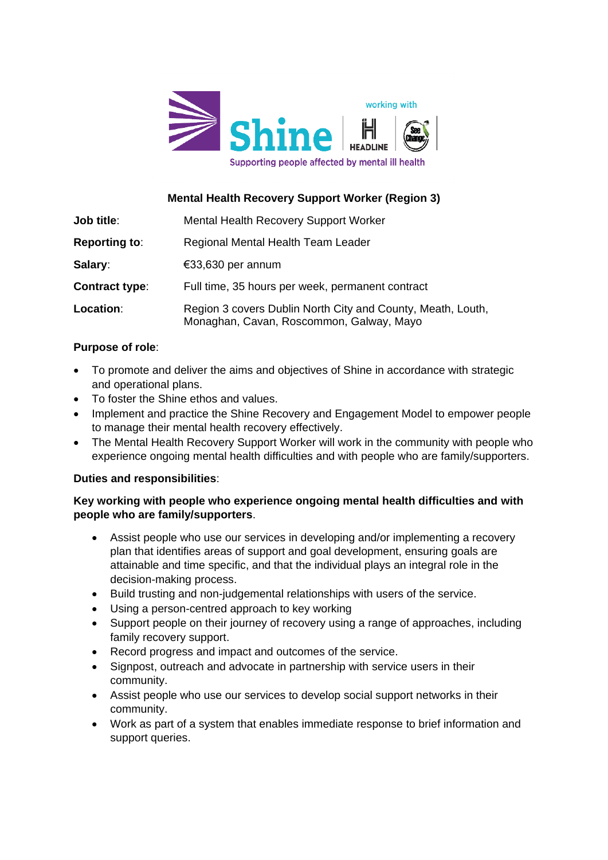

# **Mental Health Recovery Support Worker (Region 3)**

| <b>Job title:</b>     | <b>Mental Health Recovery Support Worker</b>                                                            |
|-----------------------|---------------------------------------------------------------------------------------------------------|
| <b>Reporting to:</b>  | Regional Mental Health Team Leader                                                                      |
| Salary:               | €33,630 per annum                                                                                       |
| <b>Contract type:</b> | Full time, 35 hours per week, permanent contract                                                        |
| Location:             | Region 3 covers Dublin North City and County, Meath, Louth,<br>Monaghan, Cavan, Roscommon, Galway, Mayo |

## **Purpose of role**:

- To promote and deliver the aims and objectives of Shine in accordance with strategic and operational plans.
- To foster the Shine ethos and values.
- Implement and practice the Shine Recovery and Engagement Model to empower people to manage their mental health recovery effectively.
- The Mental Health Recovery Support Worker will work in the community with people who experience ongoing mental health difficulties and with people who are family/supporters.

## **Duties and responsibilities**:

## **Key working with people who experience ongoing mental health difficulties and with people who are family/supporters**.

- Assist people who use our services in developing and/or implementing a recovery plan that identifies areas of support and goal development, ensuring goals are attainable and time specific, and that the individual plays an integral role in the decision-making process.
- Build trusting and non-judgemental relationships with users of the service.
- Using a person-centred approach to key working
- Support people on their journey of recovery using a range of approaches, including family recovery support.
- Record progress and impact and outcomes of the service.
- Signpost, outreach and advocate in partnership with service users in their community.
- Assist people who use our services to develop social support networks in their community.
- Work as part of a system that enables immediate response to brief information and support queries.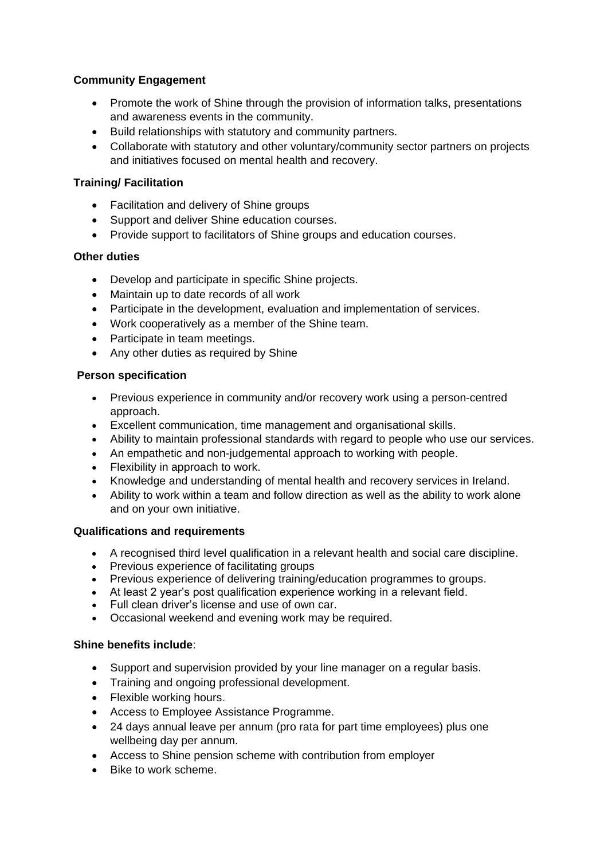## **Community Engagement**

- Promote the work of Shine through the provision of information talks, presentations and awareness events in the community.
- Build relationships with statutory and community partners.
- Collaborate with statutory and other voluntary/community sector partners on projects and initiatives focused on mental health and recovery.

### **Training/ Facilitation**

- Facilitation and delivery of Shine groups
- Support and deliver Shine education courses.
- Provide support to facilitators of Shine groups and education courses.

### **Other duties**

- Develop and participate in specific Shine projects.
- Maintain up to date records of all work
- Participate in the development, evaluation and implementation of services.
- Work cooperatively as a member of the Shine team.
- Participate in team meetings.
- Any other duties as required by Shine

### **Person specification**

- Previous experience in community and/or recovery work using a person-centred approach.
- Excellent communication, time management and organisational skills.
- Ability to maintain professional standards with regard to people who use our services.
- An empathetic and non-judgemental approach to working with people.
- Flexibility in approach to work.
- Knowledge and understanding of mental health and recovery services in Ireland.
- Ability to work within a team and follow direction as well as the ability to work alone and on your own initiative.

### **Qualifications and requirements**

- A recognised third level qualification in a relevant health and social care discipline.
- Previous experience of facilitating groups
- Previous experience of delivering training/education programmes to groups.
- At least 2 year's post qualification experience working in a relevant field.
- Full clean driver's license and use of own car.
- Occasional weekend and evening work may be required.

### **Shine benefits include**:

- Support and supervision provided by your line manager on a regular basis.
- Training and ongoing professional development.
- Flexible working hours.
- Access to Employee Assistance Programme.
- 24 days annual leave per annum (pro rata for part time employees) plus one wellbeing day per annum.
- Access to Shine pension scheme with contribution from employer
- Bike to work scheme.